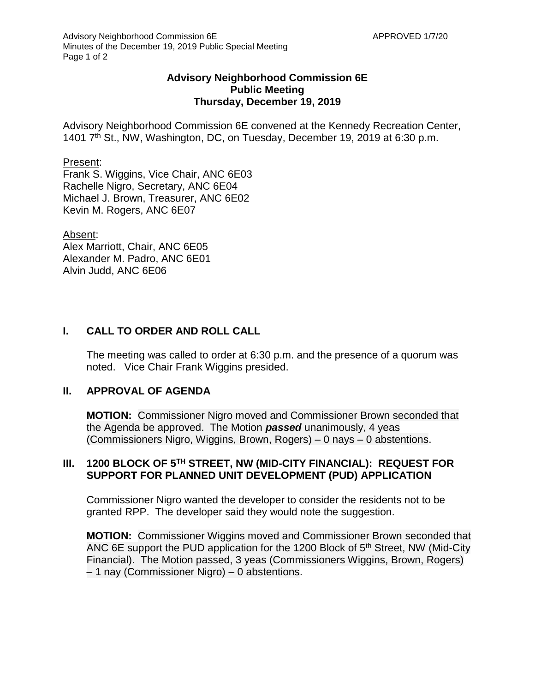### **Advisory Neighborhood Commission 6E Public Meeting Thursday, December 19, 2019**

Advisory Neighborhood Commission 6E convened at the Kennedy Recreation Center, 1401 7<sup>th</sup> St., NW, Washington, DC, on Tuesday, December 19, 2019 at 6:30 p.m.

#### Present:

Frank S. Wiggins, Vice Chair, ANC 6E03 Rachelle Nigro, Secretary, ANC 6E04 Michael J. Brown, Treasurer, ANC 6E02 Kevin M. Rogers, ANC 6E07

#### Absent:

Alex Marriott, Chair, ANC 6E05 Alexander M. Padro, ANC 6E01 Alvin Judd, ANC 6E06

# **I. CALL TO ORDER AND ROLL CALL**

The meeting was called to order at 6:30 p.m. and the presence of a quorum was noted. Vice Chair Frank Wiggins presided.

### **II. APPROVAL OF AGENDA**

**MOTION:** Commissioner Nigro moved and Commissioner Brown seconded that the Agenda be approved. The Motion *passed* unanimously, 4 yeas (Commissioners Nigro, Wiggins, Brown, Rogers) – 0 nays – 0 abstentions.

### **III. 1200 BLOCK OF 5TH STREET, NW (MID-CITY FINANCIAL): REQUEST FOR SUPPORT FOR PLANNED UNIT DEVELOPMENT (PUD) APPLICATION**

Commissioner Nigro wanted the developer to consider the residents not to be granted RPP. The developer said they would note the suggestion.

**MOTION:** Commissioner Wiggins moved and Commissioner Brown seconded that ANC 6E support the PUD application for the 1200 Block of 5<sup>th</sup> Street, NW (Mid-City Financial). The Motion passed, 3 yeas (Commissioners Wiggins, Brown, Rogers) – 1 nay (Commissioner Nigro) – 0 abstentions.